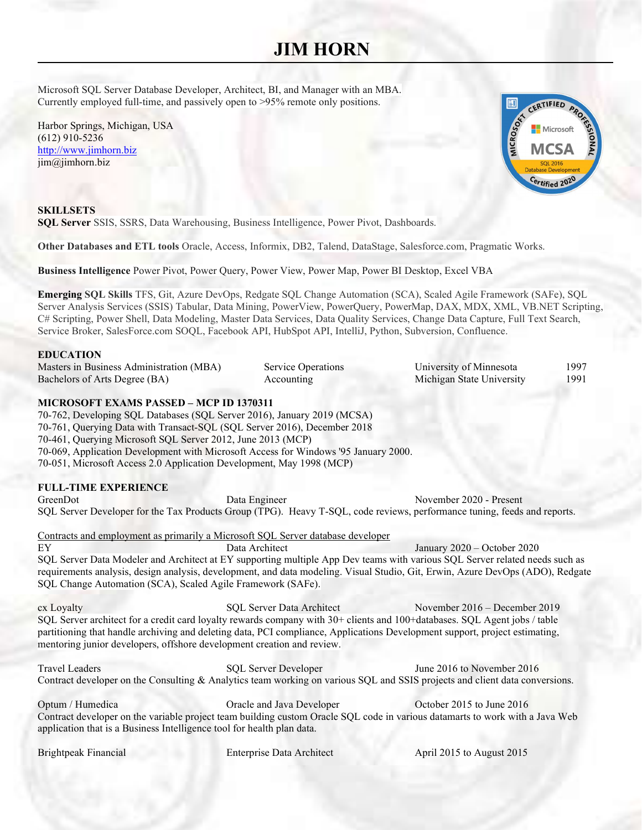# **JIM HORN** ٦

Microsoft SQL Server Database Developer, Architect, BI, and Manager with an MBA. Currently employed full-time, and passively open to  $>95\%$  remote only positions.

Harbor Springs, Michigan, USA (612) 910-5236 http://www.jimhorn.biz jim@jimhorn.biz



**SKILLSETS** SQL Server SSIS, SSRS, Data Warehousing, Business Intelligence, Power Pivot, Dashboards.

Other Databases and ETL tools Oracle, Access, Informix, DB2, Talend, DataStage, Salesforce.com, Pragmatic Works.

Business Intelligence Power Pivot, Power Query, Power View, Power Map, Power BI Desktop, Excel VBA

Emerging SQL Skills TFS, Git, Azure DevOps, Redgate SQL Change Automation (SCA), Scaled Agile Framework (SAFe), SQL Server Analysis Services (SSIS) Tabular, Data Mining, PowerView, PowerQuery, PowerMap, DAX, MDX, XML, VB.NET Scripting, C# Scripting, Power Shell, Data Modeling, Master Data Services, Data Quality Services, Change Data Capture, Full Text Search, Service Broker, SalesForce.com SOQL, Facebook API, HubSpot API, IntelliJ, Python, Subversion, Confluence.

## **EDUCATION**

Masters in Business Administration (MBA) Service Operations University of Minnesota 1997 Bachelors of Arts Degree (BA)  $\overline{A}$  Accounting  $\overline{A}$  Michigan State University 1991

# MICROSOFT EXAMS PASSED – MCP ID 1370311

70-762, Developing SQL Databases (SQL Server 2016), January 2019 (MCSA) 70-761, Querying Data with Transact-SQL (SQL Server 2016), December 2018 70-461, Querying Microsoft SQL Server 2012, June 2013 (MCP) 70-069, Application Development with Microsoft Access for Windows '95 January 2000. 70-051, Microsoft Access 2.0 Application Development, May 1998 (MCP)

# FULL-TIME EXPERIENCE

GreenDot Data Engineer November 2020 - Present SQL Server Developer for the Tax Products Group (TPG). Heavy T-SQL, code reviews, performance tuning, feeds and reports.

Contracts and employment as primarily a Microsoft SQL Server database developer

EY Data Architect January 2020 – October 2020 SQL Server Data Modeler and Architect at EY supporting multiple App Dev teams with various SQL Server related needs such as requirements analysis, design analysis, development, and data modeling. Visual Studio, Git, Erwin, Azure DevOps (ADO), Redgate SQL Change Automation (SCA), Scaled Agile Framework (SAFe).

cx Loyalty SQL Server Data Architect November 2016 – December 2019 SQL Server architect for a credit card loyalty rewards company with 30+ clients and 100+databases. SQL Agent jobs / table partitioning that handle archiving and deleting data, PCI compliance, Applications Development support, project estimating, mentoring junior developers, offshore development creation and review.

Travel Leaders SQL Server Developer June 2016 to November 2016 Contract developer on the Consulting & Analytics team working on various SQL and SSIS projects and client data conversions.

Optum / Humedica Oracle and Java Developer October 2015 to June 2016 Contract developer on the variable project team building custom Oracle SQL code in various datamarts to work with a Java Web application that is a Business Intelligence tool for health plan data.

Brightpeak Financial Enterprise Data Architect April 2015 to August 2015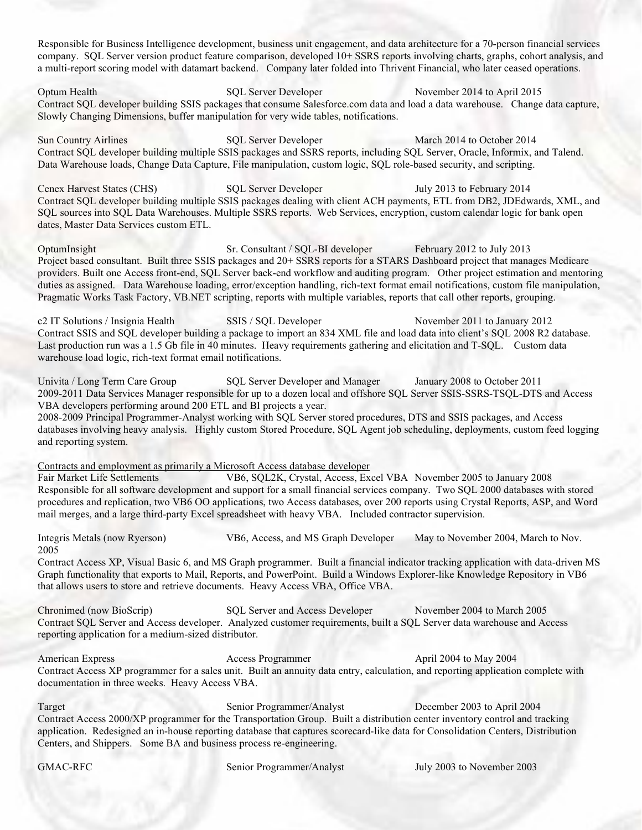Responsible for Business Intelligence development, business unit engagement, and data architecture for a 70-person financial services company. SQL Server version product feature comparison, developed 10+ SSRS reports involving charts, graphs, cohort analysis, and a multi-report scoring model with datamart backend. Company later folded into Thrivent Financial, who later ceased operations.

Optum Health SQL Server Developer November 2014 to April 2015 Contract SQL developer building SSIS packages that consume Salesforce.com data and load a data warehouse. Change data capture, Slowly Changing Dimensions, buffer manipulation for very wide tables, notifications.

Sun Country Airlines SQL Server Developer March 2014 to October 2014 Contract SQL developer building multiple SSIS packages and SSRS reports, including SQL Server, Oracle, Informix, and Talend. Data Warehouse loads, Change Data Capture, File manipulation, custom logic, SQL role-based security, and scripting.

Cenex Harvest States (CHS) SQL Server Developer July 2013 to February 2014 Contract SQL developer building multiple SSIS packages dealing with client ACH payments, ETL from DB2, JDEdwards, XML, and SQL sources into SQL Data Warehouses. Multiple SSRS reports. Web Services, encryption, custom calendar logic for bank open dates, Master Data Services custom ETL.

OptumInsight Sr. Consultant / SQL-BI developer February 2012 to July 2013 Project based consultant. Built three SSIS packages and 20+ SSRS reports for a STARS Dashboard project that manages Medicare providers. Built one Access front-end, SQL Server back-end workflow and auditing program. Other project estimation and mentoring duties as assigned. Data Warehouse loading, error/exception handling, rich-text format email notifications, custom file manipulation, Pragmatic Works Task Factory, VB.NET scripting, reports with multiple variables, reports that call other reports, grouping.

c2 IT Solutions / Insignia Health SSIS / SQL Developer November 2011 to January 2012 Contract SSIS and SQL developer building a package to import an 834 XML file and load data into client's SQL 2008 R2 database. Last production run was a 1.5 Gb file in 40 minutes. Heavy requirements gathering and elicitation and T-SQL. Custom data warehouse load logic, rich-text format email notifications.

Univita / Long Term Care Group SQL Server Developer and Manager January 2008 to October 2011 2009-2011 Data Services Manager responsible for up to a dozen local and offshore SQL Server SSIS-SSRS-TSQL-DTS and Access VBA developers performing around 200 ETL and BI projects a year.

2008-2009 Principal Programmer-Analyst working with SQL Server stored procedures, DTS and SSIS packages, and Access databases involving heavy analysis. Highly custom Stored Procedure, SQL Agent job scheduling, deployments, custom feed logging and reporting system.

Contracts and employment as primarily a Microsoft Access database developer

Fair Market Life Settlements VB6, SQL2K, Crystal, Access, Excel VBA November 2005 to January 2008 Responsible for all software development and support for a small financial services company. Two SQL 2000 databases with stored procedures and replication, two VB6 OO applications, two Access databases, over 200 reports using Crystal Reports, ASP, and Word mail merges, and a large third-party Excel spreadsheet with heavy VBA. Included contractor supervision.

Integris Metals (now Ryerson) VB6, Access, and MS Graph Developer May to November 2004, March to Nov. 2005

Contract Access XP, Visual Basic 6, and MS Graph programmer. Built a financial indicator tracking application with data-driven MS Graph functionality that exports to Mail, Reports, and PowerPoint. Build a Windows Explorer-like Knowledge Repository in VB6 that allows users to store and retrieve documents. Heavy Access VBA, Office VBA.

Chronimed (now BioScrip) SQL Server and Access Developer November 2004 to March 2005 Contract SQL Server and Access developer. Analyzed customer requirements, built a SQL Server data warehouse and Access reporting application for a medium-sized distributor.

American Express Access Programmer April 2004 to May 2004 Contract Access XP programmer for a sales unit. Built an annuity data entry, calculation, and reporting application complete with documentation in three weeks. Heavy Access VBA.

Target Senior Programmer/Analyst December 2003 to April 2004 Contract Access 2000/XP programmer for the Transportation Group. Built a distribution center inventory control and tracking application. Redesigned an in-house reporting database that captures scorecard-like data for Consolidation Centers, Distribution Centers, and Shippers. Some BA and business process re-engineering.

GMAC-RFC Senior Programmer/Analyst July 2003 to November 2003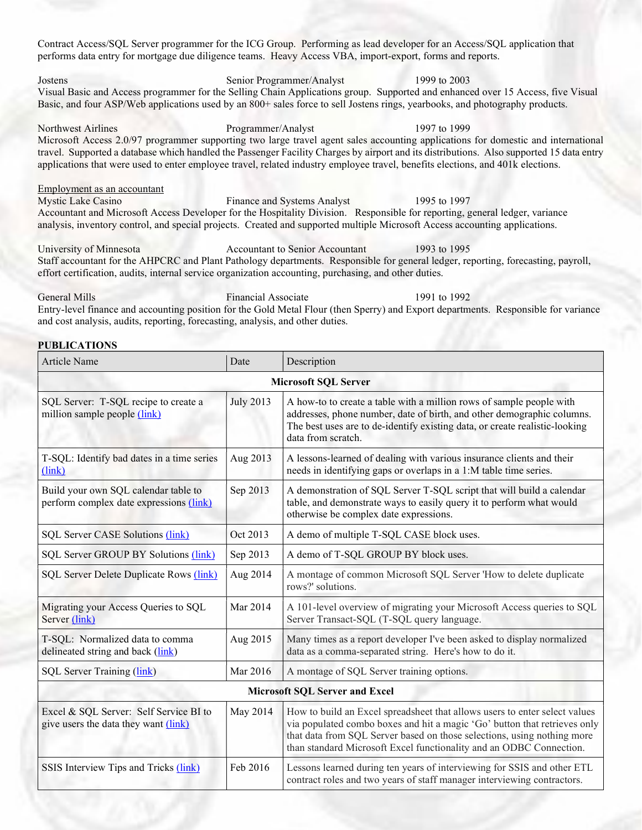Contract Access/SQL Server programmer for the ICG Group. Performing as lead developer for an Access/SQL application that performs data entry for mortgage due diligence teams. Heavy Access VBA, import-export, forms and reports. Jostens Senior Programmer/Analyst 1999 to 2003 Visual Basic and Access programmer for the Selling Chain Applications group. Supported and enhanced over 15 Access, five Visual Basic, and four ASP/Web applications used by an 800+ sales force to sell Jostens rings, yearbooks, and photography products.

Northwest Airlines Programmer/Analyst 1997 to 1999 Microsoft Access 2.0/97 programmer supporting two large travel agent sales accounting applications for domestic and international travel. Supported a database which handled the Passenger Facility Charges by airport and its distributions. Also supported 15 data entry applications that were used to enter employee travel, related industry employee travel, benefits elections, and 401k elections.

Employment as an accountant Mystic Lake Casino Finance and Systems Analyst 1995 to 1997 Accountant and Microsoft Access Developer for the Hospitality Division. Responsible for reporting, general ledger, variance analysis, inventory control, and special projects. Created and supported multiple Microsoft Access accounting applications.

University of Minnesota Accountant to Senior Accountant 1993 to 1995 Staff accountant for the AHPCRC and Plant Pathology departments. Responsible for general ledger, reporting, forecasting, payroll, effort certification, audits, internal service organization accounting, purchasing, and other duties.

General Mills **Financial Associate** 1991 to 1992 Entry-level finance and accounting position for the Gold Metal Flour (then Sperry) and Export departments. Responsible for variance and cost analysis, audits, reporting, forecasting, analysis, and other duties.

#### PUBLICATIONS

| Article Name                                                                    | Date             | Description                                                                                                                                                                                                                                                                                               |  |  |
|---------------------------------------------------------------------------------|------------------|-----------------------------------------------------------------------------------------------------------------------------------------------------------------------------------------------------------------------------------------------------------------------------------------------------------|--|--|
| <b>Microsoft SQL Server</b>                                                     |                  |                                                                                                                                                                                                                                                                                                           |  |  |
| SQL Server: T-SQL recipe to create a<br>million sample people (link)            | <b>July 2013</b> | A how-to to create a table with a million rows of sample people with<br>addresses, phone number, date of birth, and other demographic columns.<br>The best uses are to de-identify existing data, or create realistic-looking<br>data from scratch.                                                       |  |  |
| T-SQL: Identify bad dates in a time series<br>(link)                            | Aug 2013         | A lessons-learned of dealing with various insurance clients and their<br>needs in identifying gaps or overlaps in a 1:M table time series.                                                                                                                                                                |  |  |
| Build your own SQL calendar table to<br>perform complex date expressions (link) | Sep 2013         | A demonstration of SQL Server T-SQL script that will build a calendar<br>table, and demonstrate ways to easily query it to perform what would<br>otherwise be complex date expressions.                                                                                                                   |  |  |
| SQL Server CASE Solutions (link)                                                | Oct 2013         | A demo of multiple T-SQL CASE block uses.                                                                                                                                                                                                                                                                 |  |  |
| SQL Server GROUP BY Solutions (link)                                            | Sep 2013         | A demo of T-SQL GROUP BY block uses.                                                                                                                                                                                                                                                                      |  |  |
| SQL Server Delete Duplicate Rows (link)                                         | Aug 2014         | A montage of common Microsoft SQL Server 'How to delete duplicate<br>rows?' solutions.                                                                                                                                                                                                                    |  |  |
| Migrating your Access Queries to SQL<br>Server (link)                           | Mar 2014         | A 101-level overview of migrating your Microsoft Access queries to SQL<br>Server Transact-SQL (T-SQL query language.                                                                                                                                                                                      |  |  |
| T-SQL: Normalized data to comma<br>delineated string and back (link)            | Aug 2015         | Many times as a report developer I've been asked to display normalized<br>data as a comma-separated string. Here's how to do it.                                                                                                                                                                          |  |  |
| SQL Server Training (link)                                                      | Mar 2016         | A montage of SQL Server training options.                                                                                                                                                                                                                                                                 |  |  |
| <b>Microsoft SQL Server and Excel</b>                                           |                  |                                                                                                                                                                                                                                                                                                           |  |  |
| Excel & SQL Server: Self Service BI to<br>give users the data they want (link)  | May 2014         | How to build an Excel spreadsheet that allows users to enter select values<br>via populated combo boxes and hit a magic 'Go' button that retrieves only<br>that data from SQL Server based on those selections, using nothing more<br>than standard Microsoft Excel functionality and an ODBC Connection. |  |  |
| SSIS Interview Tips and Tricks (link)                                           | Feb 2016         | Lessons learned during ten years of interviewing for SSIS and other ETL<br>contract roles and two years of staff manager interviewing contractors.                                                                                                                                                        |  |  |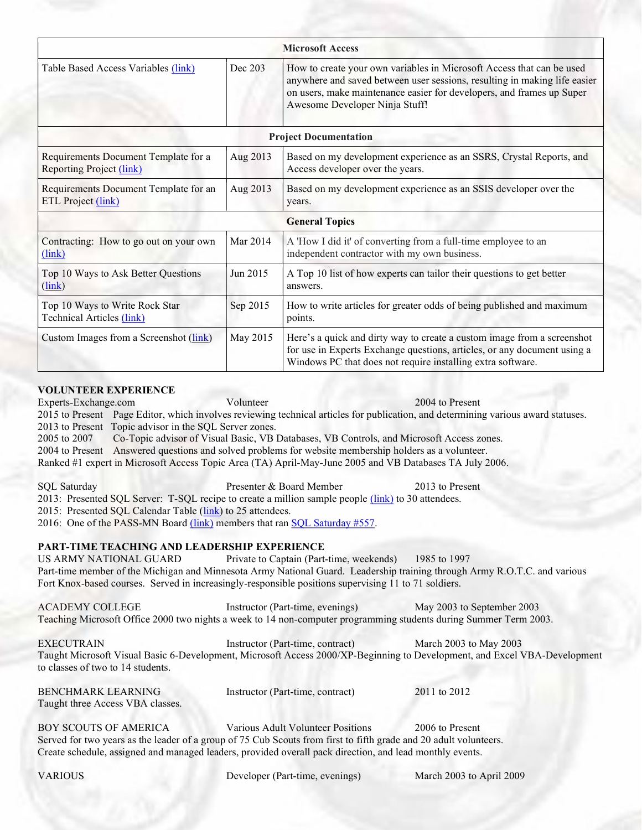| <b>Microsoft Access</b> |                                                                                                                                                                                                                                                               |  |  |  |
|-------------------------|---------------------------------------------------------------------------------------------------------------------------------------------------------------------------------------------------------------------------------------------------------------|--|--|--|
| Dec 203                 | How to create your own variables in Microsoft Access that can be used<br>anywhere and saved between user sessions, resulting in making life easier<br>on users, make maintenance easier for developers, and frames up Super<br>Awesome Developer Ninja Stuff! |  |  |  |
|                         | <b>Project Documentation</b>                                                                                                                                                                                                                                  |  |  |  |
| Aug 2013                | Based on my development experience as an SSRS, Crystal Reports, and<br>Access developer over the years.                                                                                                                                                       |  |  |  |
| Aug 2013                | Based on my development experience as an SSIS developer over the<br>years.                                                                                                                                                                                    |  |  |  |
|                         | <b>General Topics</b>                                                                                                                                                                                                                                         |  |  |  |
| Mar 2014                | A 'How I did it' of converting from a full-time employee to an<br>independent contractor with my own business.                                                                                                                                                |  |  |  |
| Jun 2015                | A Top 10 list of how experts can tailor their questions to get better<br>answers.                                                                                                                                                                             |  |  |  |
| Sep 2015                | How to write articles for greater odds of being published and maximum<br>points.                                                                                                                                                                              |  |  |  |
| May 2015                | Here's a quick and dirty way to create a custom image from a screenshot<br>for use in Experts Exchange questions, articles, or any document using a<br>Windows PC that does not require installing extra software.                                            |  |  |  |
|                         |                                                                                                                                                                                                                                                               |  |  |  |

Experts-Exchange.com Volunteer 2004 to Present 2015 to Present Page Editor, which involves reviewing technical articles for publication, and determining various award statuses. 2013 to Present Topic advisor in the SQL Server zones. 2005 to 2007 Co-Topic advisor of Visual Basic, VB Databases, VB Controls, and Microsoft Access zones. 2004 to Present Answered questions and solved problems for website membership holders as a volunteer. Ranked #1 expert in Microsoft Access Topic Area (TA) April-May-June 2005 and VB Databases TA July 2006.

SQL Saturday Presenter & Board Member 2013 to Present 2013: Presented SQL Server: T-SQL recipe to create a million sample people (link) to 30 attendees. 2015: Presented SQL Calendar Table (link) to 25 attendees. 2016: One of the PASS-MN Board (link) members that ran SQL Saturday #557.

# PART-TIME TEACHING AND LEADERSHIP EXPERIENCE

VOLUNTEER EXPERIENCE

US ARMY NATIONAL GUARD Private to Captain (Part-time, weekends) 1985 to 1997 Part-time member of the Michigan and Minnesota Army National Guard. Leadership training through Army R.O.T.C. and various Fort Knox-based courses. Served in increasingly-responsible positions supervising 11 to 71 soldiers.

ACADEMY COLLEGE Instructor (Part-time, evenings) May 2003 to September 2003 Teaching Microsoft Office 2000 two nights a week to 14 non-computer programming students during Summer Term 2003.

EXECUTRAIN Instructor (Part-time, contract) March 2003 to May 2003 Taught Microsoft Visual Basic 6-Development, Microsoft Access 2000/XP-Beginning to Development, and Excel VBA-Development to classes of two to 14 students.

| <b>BENCHMARK LEARNING</b>        | Instructor (Part-time, contract) | 2011 to 2012 |
|----------------------------------|----------------------------------|--------------|
| Taught three Access VBA classes. |                                  |              |

BOY SCOUTS OF AMERICA Various Adult Volunteer Positions 2006 to Present Served for two years as the leader of a group of 75 Cub Scouts from first to fifth grade and 20 adult volunteers. Create schedule, assigned and managed leaders, provided overall pack direction, and lead monthly events.

VARIOUS Developer (Part-time, evenings) March 2003 to April 2009